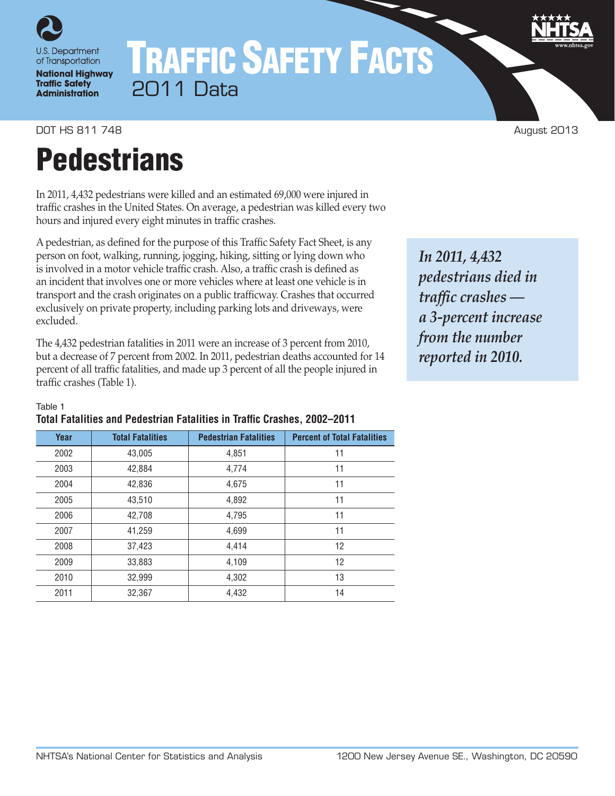

# TRAFFIC SAFETY FACTS 2011 Data

DOT HS 811 748 August 2013

# **Pedestrians**

In 2011, 4,432 pedestrians were killed and an estimated 69,000 were injured in traffic crashes in the United States. On average, a pedestrian was killed every two hours and injured every eight minutes in traffic crashes.

A pedestrian, as defined for the purpose of this Traffic Safety Fact Sheet, is any person on foot, walking, running, jogging, hiking, sitting or lying down who is involved in a motor vehicle traffic crash. Also, a traffic crash is defined as an incident that involves one or more vehicles where at least one vehicle is in transport and the crash originates on a public trafficway. Crashes that occurred exclusively on private property, including parking lots and driveways, were excluded.

The 4,432 pedestrian fatalities in 2011 were an increase of 3 percent from 2010, but a decrease of 7 percent from 2002. In 2011, pedestrian deaths accounted for 14 percent of all traffic fatalities, and made up 3 percent of all the people injured in traffic crashes (Table 1).

*In 2011, 4,432 pedestrians died in traffic crashes a 3-percent increase from the number reported in 2010.*

#### Table 1

| Total Fatalities and Pedestrian Fatalities in Traffic Crashes, 2002–2011 |  |  |  |
|--------------------------------------------------------------------------|--|--|--|
|--------------------------------------------------------------------------|--|--|--|

| Year | <b>Total Fatalities</b> | <b>Pedestrian Fatalities</b> | <b>Percent of Total Fatalities</b> |
|------|-------------------------|------------------------------|------------------------------------|
| 2002 | 43,005                  | 4,851                        | 11                                 |
| 2003 | 42.884                  | 4,774                        | 11                                 |
| 2004 | 42,836                  | 4,675                        | 11                                 |
| 2005 | 43,510                  | 4,892                        | 11                                 |
| 2006 | 42,708                  | 4,795                        | 11                                 |
| 2007 | 41,259                  | 4,699                        | 11                                 |
| 2008 | 37,423                  | 4,414                        | 12                                 |
| 2009 | 33,883                  | 4,109                        | 12                                 |
| 2010 | 32,999                  | 4,302                        | 13                                 |
| 2011 | 32,367                  | 4,432                        | 14                                 |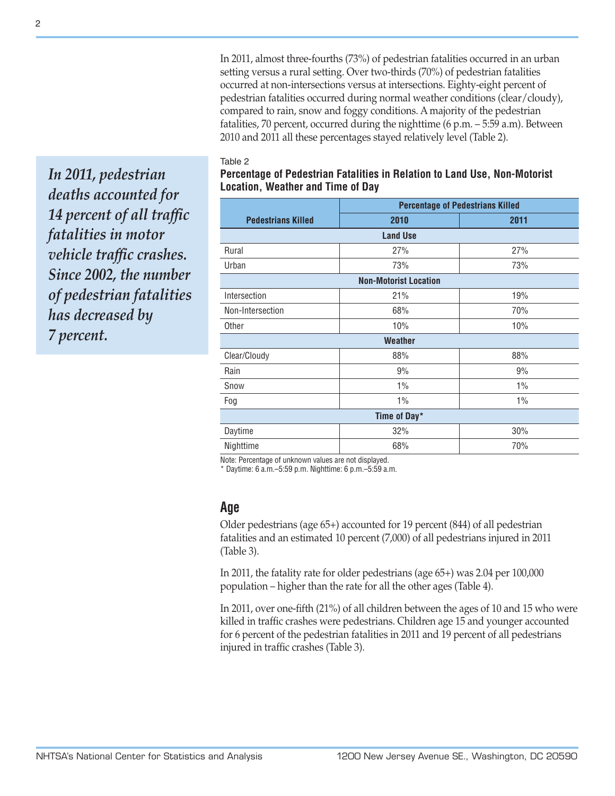In 2011, almost three-fourths (73%) of pedestrian fatalities occurred in an urban setting versus a rural setting. Over two-thirds (70%) of pedestrian fatalities occurred at non-intersections versus at intersections. Eighty-eight percent of pedestrian fatalities occurred during normal weather conditions (clear/cloudy), compared to rain, snow and foggy conditions. A majority of the pedestrian fatalities, 70 percent, occurred during the nighttime (6 p.m. – 5:59 a.m). Between 2010 and 2011 all these percentages stayed relatively level (Table 2).

#### Table 2

*In 2011, pedestrian deaths accounted for 14 percent of all traffic fatalities in motor vehicle traffic crashes. Since 2002, the number of pedestrian fatalities has decreased by 7 percent.*

### **Percentage of Pedestrian Fatalities in Relation to Land Use, Non-Motorist Location, Weather and Time of Day**

|                           | <b>Percentage of Pedestrians Killed</b> |       |  |  |  |  |
|---------------------------|-----------------------------------------|-------|--|--|--|--|
| <b>Pedestrians Killed</b> | 2010                                    | 2011  |  |  |  |  |
|                           | <b>Land Use</b>                         |       |  |  |  |  |
| Rural                     | 27%                                     | 27%   |  |  |  |  |
| Urban                     | 73%                                     | 73%   |  |  |  |  |
|                           | <b>Non-Motorist Location</b>            |       |  |  |  |  |
| Intersection              | 21%                                     | 19%   |  |  |  |  |
| Non-Intersection          | 68%                                     | 70%   |  |  |  |  |
| Other                     | 10%                                     | 10%   |  |  |  |  |
|                           | <b>Weather</b>                          |       |  |  |  |  |
| Clear/Cloudy              | 88%                                     | 88%   |  |  |  |  |
| Rain                      | 9%                                      | 9%    |  |  |  |  |
| Snow                      | 1%                                      | 1%    |  |  |  |  |
| Fog                       | $1\%$                                   | $1\%$ |  |  |  |  |
|                           | Time of Day*                            |       |  |  |  |  |
| Daytime                   | 32%                                     | 30%   |  |  |  |  |
| Nighttime                 | 68%                                     | 70%   |  |  |  |  |

Note: Percentage of unknown values are not displayed.

\* Daytime: 6 a.m.–5:59 p.m. Nighttime: 6 p.m.–5:59 a.m.

## **Age**

Older pedestrians (age 65+) accounted for 19 percent (844) of all pedestrian fatalities and an estimated 10 percent (7,000) of all pedestrians injured in 2011 (Table 3).

In 2011, the fatality rate for older pedestrians (age 65+) was 2.04 per 100,000 population – higher than the rate for all the other ages (Table 4).

In 2011, over one-fifth (21%) of all children between the ages of 10 and 15 who were killed in traffic crashes were pedestrians. Children age 15 and younger accounted for 6 percent of the pedestrian fatalities in 2011 and 19 percent of all pedestrians injured in traffic crashes (Table 3).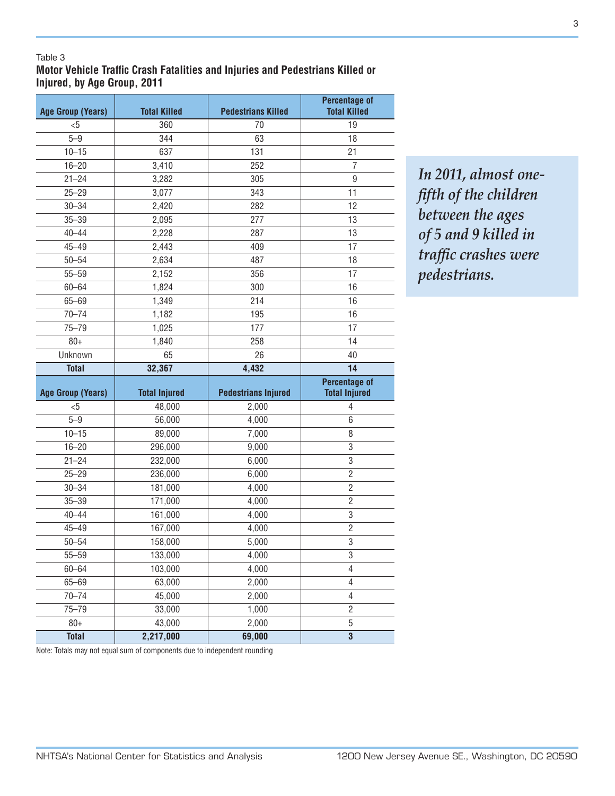#### Table 3

**Motor Vehicle Traffic Crash Fatalities and Injuries and Pedestrians Killed or Injured, by Age Group, 2011**

| <b>Age Group (Years)</b> | <b>Total Killed</b>  | <b>Pedestrians Killed</b>  | <b>Percentage of</b><br><b>Total Killed</b>  |
|--------------------------|----------------------|----------------------------|----------------------------------------------|
| $5$                      | 360                  | 70                         | 19                                           |
| $5 - 9$                  | 344                  | 63                         | 18                                           |
| $10 - 15$                | 637                  | 131                        | 21                                           |
| $16 - 20$                | 3,410                | 252                        | $\overline{7}$                               |
| $21 - 24$                | 3,282                | 305                        | $\boldsymbol{9}$                             |
| $25 - 29$                | 3,077                | 343                        | 11                                           |
| $30 - 34$                | 2,420                | 282                        | 12                                           |
| $35 - 39$                | 2,095                | 277                        | 13                                           |
| $40 - 44$                | 2,228                | 287                        | 13                                           |
| $45 - 49$                | 2,443                | 409                        | 17                                           |
| $50 - 54$                | 2,634                | 487                        | 18                                           |
| $55 - 59$                | 2,152                | 356                        | 17                                           |
| $60 - 64$                | 1,824                | 300                        | 16                                           |
| $65 - 69$                | 1,349                | 214                        | 16                                           |
| $70 - 74$                | 1,182                | 195                        | 16                                           |
| $75 - 79$                | 1,025                | 177                        | 17                                           |
| $80 +$                   | 1,840                | 258                        | 14                                           |
| Unknown                  | 65                   | 26                         | 40                                           |
| <b>Total</b>             | 32,367               | 4,432                      | 14                                           |
|                          |                      |                            |                                              |
| <b>Age Group (Years)</b> | <b>Total Injured</b> | <b>Pedestrians Injured</b> | <b>Percentage of</b><br><b>Total Injured</b> |
| &5                       | 48,000               | 2,000                      | $\overline{4}$                               |
| $5 - 9$                  | 56,000               | 4,000                      | 6                                            |
| $10 - 15$                | 89,000               | 7,000                      | 8                                            |
| $16 - 20$                | 296,000              | 9,000                      | 3                                            |
| $21 - 24$                | 232,000              | 6,000                      | 3                                            |
| $25 - 29$                | 236,000              | 6,000                      | $\overline{2}$                               |
| $30 - 34$                | 181,000              | 4,000                      | $\overline{2}$                               |
| $35 - 39$                | 171,000              | 4,000                      | $\overline{2}$                               |
| $40 - 44$                | 161,000              | 4,000                      | 3                                            |
| $45 - 49$                | 167,000              | 4,000                      | $\overline{2}$                               |
| $50 - 54$                | 158,000              | 5,000                      | 3                                            |
| $55 - 59$                | 133,000              | 4,000                      | 3                                            |
| $60 - 64$                | 103,000              | 4,000                      | 4                                            |
| $65 - 69$                | 63,000               | 2,000                      | 4                                            |
| $70 - 74$                | 45,000               | 2,000                      | 4                                            |
| $75 - 79$                | 33,000               | 1,000                      | $\overline{c}$                               |
| $80+$                    | 43,000               | 2,000                      | 5                                            |

*In 2011, almost onefifth of the children between the ages of 5 and 9 killed in traffic crashes were pedestrians.*

Note: Totals may not equal sum of components due to independent rounding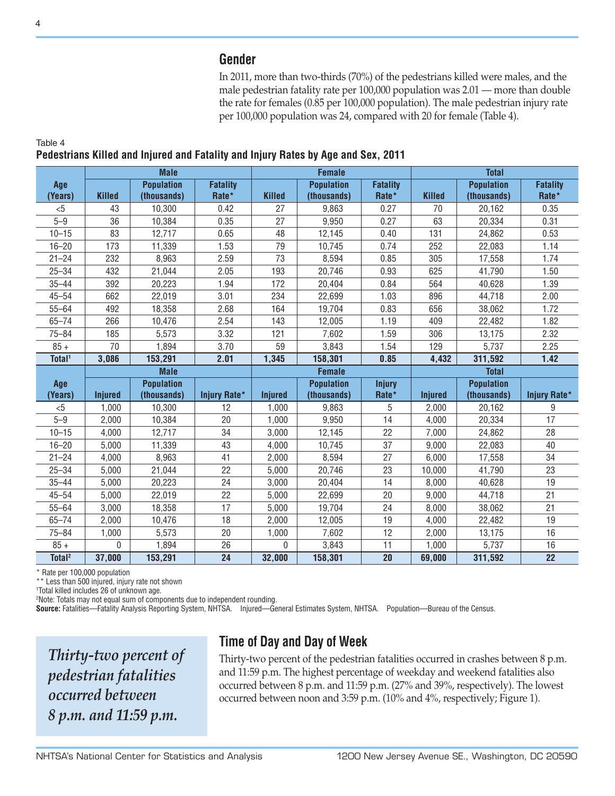## **Gender**

In 2011, more than two-thirds (70%) of the pedestrians killed were males, and the male pedestrian fatality rate per 100,000 population was 2.01 — more than double the rate for females (0.85 per 100,000 population). The male pedestrian injury rate per 100,000 population was 24, compared with 20 for female (Table 4).

|                    |                | <b>Male</b>       |                     |                | <b>Female</b>     | <b>Total</b>    |                |                   |                     |
|--------------------|----------------|-------------------|---------------------|----------------|-------------------|-----------------|----------------|-------------------|---------------------|
| Age                |                | <b>Population</b> | <b>Fatality</b>     |                | <b>Population</b> | <b>Fatality</b> |                | <b>Population</b> | <b>Fatality</b>     |
| (Years)            | <b>Killed</b>  | (thousands)       | Rate*               | <b>Killed</b>  | (thousands)       | Rate*           | <b>Killed</b>  | (thousands)       | Rate*               |
| < 5                | 43             | 10,300            | 0.42                | 27             | 9,863             | 0.27            | 70             | 20,162            | 0.35                |
| $5 - 9$            | 36             | 10,384            | 0.35                | 27             | 9,950             | 0.27            | 63             | 20,334            | 0.31                |
| $10 - 15$          | 83             | 12,717            | 0.65                | 48             | 12,145            | 0.40            | 131            | 24,862            | 0.53                |
| $16 - 20$          | 173            | 11,339            | 1.53                | 79             | 10,745            | 0.74            | 252            | 22,083            | 1.14                |
| $21 - 24$          | 232            | 8,963             | 2.59                | 73             | 8,594             | 0.85            | 305            | 17,558            | 1.74                |
| $25 - 34$          | 432            | 21,044            | 2.05                | 193            | 20,746            | 0.93            | 625            | 41,790            | 1.50                |
| $35 - 44$          | 392            | 20,223            | 1.94                | 172            | 20,404            | 0.84            | 564            | 40,628            | 1.39                |
| $45 - 54$          | 662            | 22,019            | 3.01                | 234            | 22,699            | 1.03            | 896            | 44,718            | 2.00                |
| $55 - 64$          | 492            | 18,358            | 2.68                | 164            | 19,704            | 0.83            | 656            | 38,062            | 1.72                |
| $65 - 74$          | 266            | 10,476            | 2.54                | 143            | 12,005            | 1.19            | 409            | 22,482            | 1.82                |
| $75 - 84$          | 185            | 5,573             | 3.32                | 121            | 7,602             | 1.59            | 306            | 13,175            | 2.32                |
| $85 +$             | 70             | 1,894             | 3.70                | 59             | 3,843             | 1.54            | 129            | 5,737             | 2.25                |
| Total <sup>1</sup> | 3,086          | 153,291           | 2.01                | 1,345          | 158,301           | 0.85            | 4,432          | 311,592           | $1.42$              |
|                    |                | <b>Male</b>       |                     | <b>Female</b>  |                   |                 | <b>Total</b>   |                   |                     |
| Age                |                | <b>Population</b> |                     |                | <b>Population</b> | <b>Injury</b>   |                | <b>Population</b> |                     |
| (Years)            | <b>Injured</b> | (thousands)       | <b>Injury Rate*</b> | <b>Injured</b> | (thousands)       | Rate*           | <b>Injured</b> | (thousands)       | <b>Injury Rate*</b> |
| &5                 | 1,000          | 10,300            | 12                  | 1,000          | 9,863             | 5               | 2,000          | 20,162            | $\boldsymbol{9}$    |
| $5 - 9$            | 2,000          | 10,384            | 20                  | 1,000          | 9,950             | 14              | 4,000          | 20,334            | $\overline{17}$     |
| $10 - 15$          | 4,000          | 12,717            | 34                  | 3,000          | 12,145            | 22              | 7,000          | 24,862            | 28                  |
| $16 - 20$          | 5,000          | 11,339            | 43                  | 4,000          | 10,745            | 37              | 9,000          | 22,083            | 40                  |
| $21 - 24$          | 4,000          | 8,963             | 41                  | 2,000          | 8,594             | 27              | 6,000          | 17,558            | 34                  |
| $25 - 34$          | 5,000          | 21,044            | 22                  | 5,000          | 20,746            | 23              | 10,000         | 41,790            | 23                  |
| $35 - 44$          | 5,000          | 20,223            | 24                  | 3,000          | 20,404            | 14              | 8,000          | 40,628            | 19                  |
| $45 - 54$          | 5,000          | 22,019            | 22                  | 5,000          | 22,699            | 20              | 9,000          | 44,718            | 21                  |
| $55 - 64$          | 3,000          | 18,358            | 17                  | 5,000          | 19,704            | 24              | 8,000          | 38,062            | 21                  |
| $65 - 74$          | 2,000          | 10,476            | 18                  | 2,000          | 12,005            | 19              | 4,000          | 22,482            | 19                  |
| $75 - 84$          | 1,000          | 5,573             | 20                  | 1,000          | 7,602             | 12              | 2,000          | 13,175            | 16                  |
| $85 +$             | 0              | 1,894             | 26                  | $\mathbf{0}$   | 3,843             | 11              | 1,000          | 5,737             | 16                  |
| Total <sup>2</sup> | 37,000         | 153,291           | 24                  | 32,000         | 158,301           | 20              | 69,000         | 311,592           | 22                  |

## **Pedestrians Killed and Injured and Fatality and Injury Rates by Age and Sex, 2011**

\* Rate per 100,000 population

\*\* Less than 500 injured, injury rate not shown

1 Total killed includes 26 of unknown age.

2 Note: Totals may not equal sum of components due to independent rounding.

**Source:** Fatalities—Fatality Analysis Reporting System, NHTSA. Injured—General Estimates System, NHTSA. Population—Bureau of the Census.

*Thirty-two percent of pedestrian fatalities occurred between 8 p.m. and 11:59 p.m.*

# **Time of Day and Day of Week**

Thirty-two percent of the pedestrian fatalities occurred in crashes between 8 p.m. and 11:59 p.m. The highest percentage of weekday and weekend fatalities also occurred between 8 p.m. and 11:59 p.m. (27% and 39%, respectively). The lowest occurred between noon and 3:59 p.m. (10% and 4%, respectively; Figure 1).

Table 4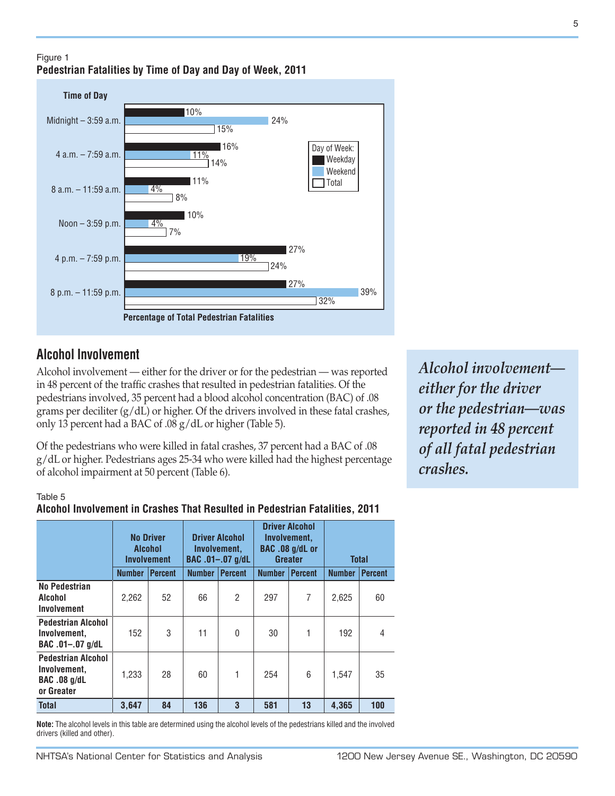#### Figure 1 **Pedestrian Fatalities by Time of Day and Day of Week, 2011**



## **Alcohol Involvement**

Alcohol involvement — either for the driver or for the pedestrian — was reported in 48 percent of the traffic crashes that resulted in pedestrian fatalities. Of the pedestrians involved, 35 percent had a blood alcohol concentration (BAC) of .08 grams per deciliter  $(g/dL)$  or higher. Of the drivers involved in these fatal crashes, only 13 percent had a BAC of .08 g/dL or higher (Table 5).

Of the pedestrians who were killed in fatal crashes, 37 percent had a BAC of .08 g/dL or higher. Pedestrians ages 25-34 who were killed had the highest percentage of alcohol impairment at 50 percent (Table 6).

#### Table 5

#### **Alcohol Involvement in Crashes That Resulted in Pedestrian Fatalities, 2011**

|                                                                                | <b>No Driver</b><br>Alcohol<br><b>Involvement</b> |                | <b>Driver Alcohol</b><br>Involvement,<br>BAC .01-.07 g/dL |                | <b>Driver Alcohol</b><br>Involvement,<br>BAC .08 g/dL or<br><b>Greater</b> |                | <b>Total</b>  |                |
|--------------------------------------------------------------------------------|---------------------------------------------------|----------------|-----------------------------------------------------------|----------------|----------------------------------------------------------------------------|----------------|---------------|----------------|
|                                                                                | <b>Number</b>                                     | <b>Percent</b> | <b>Number</b>                                             | <b>Percent</b> | <b>Number</b>                                                              | <b>Percent</b> | <b>Number</b> | <b>Percent</b> |
| No Pedestrian<br>Alcohol<br>Involvement                                        | 2.262                                             | 52             | 66                                                        | 2              | 297                                                                        | 7              | 2.625         | 60             |
| <b>Pedestrian Alcohol</b><br>Involvement.<br>BAC .01-.07 g/dL                  | 152                                               | 3              | 11                                                        | 0              | 30                                                                         |                | 192           | 4              |
| <b>Pedestrian Alcohol</b><br>Involvement.<br><b>BAC .08 g/dL</b><br>or Greater | 1.233                                             | 28             | 60                                                        | 1              | 254                                                                        | 6              | 1,547         | 35             |
| <b>Total</b>                                                                   | 3,647                                             | 84             | 136                                                       | 3              | 581                                                                        | 13             | 4,365         | 100            |

**Note:** The alcohol levels in this table are determined using the alcohol levels of the pedestrians killed and the involved drivers (killed and other).

*Alcohol involvement either for the driver or the pedestrian—was reported in 48 percent of all fatal pedestrian crashes.*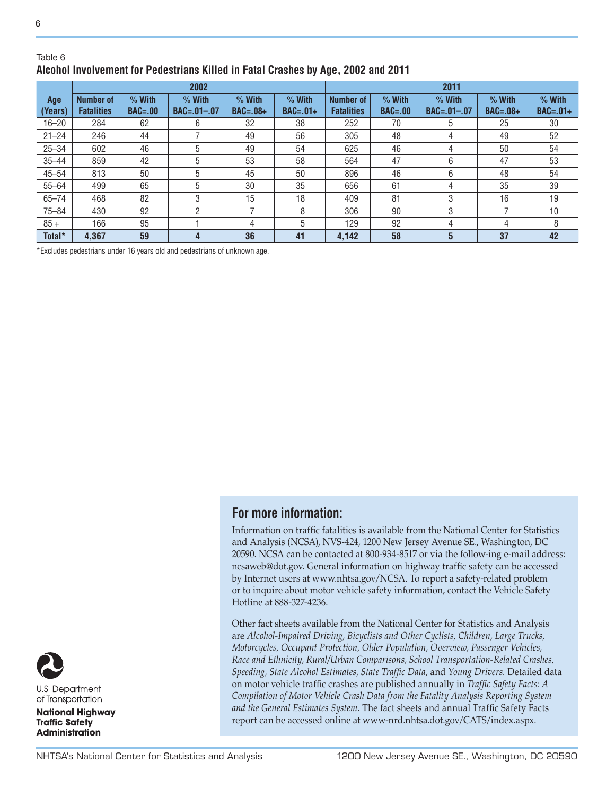#### Table 6 **Alcohol Involvement for Pedestrians Killed in Fatal Crashes by Age, 2002 and 2011**

|                | 2002                                  |                         |                               |                        |                        |                                       |                         | 2011                          |                        |                        |
|----------------|---------------------------------------|-------------------------|-------------------------------|------------------------|------------------------|---------------------------------------|-------------------------|-------------------------------|------------------------|------------------------|
| Age<br>(Years) | <b>Number of</b><br><b>Fatalities</b> | $%$ With<br>$BAC = .00$ | $%$ With<br>$BAC = .01 - .07$ | $%$ With<br>$BAC=.08+$ | $%$ With<br>$BAC=.01+$ | <b>Number of</b><br><b>Fatalities</b> | $%$ With<br>$BAC = .00$ | $%$ With<br>$BAC = .01 - .07$ | $%$ With<br>$BAC=.08+$ | $%$ With<br>$BAC=.01+$ |
| $16 - 20$      | 284                                   | 62                      | 6                             | 32                     | 38                     | 252                                   | 70                      | 5                             | 25                     | 30                     |
| $21 - 24$      | 246                                   | 44                      |                               | 49                     | 56                     | 305                                   | 48                      | 4                             | 49                     | 52                     |
| $25 - 34$      | 602                                   | 46                      | 5                             | 49                     | 54                     | 625                                   | 46                      | 4                             | 50                     | 54                     |
| $35 - 44$      | 859                                   | 42                      | 5                             | 53                     | 58                     | 564                                   | 47                      | 6                             | 47                     | 53                     |
| $45 - 54$      | 813                                   | 50                      | 5                             | 45                     | 50                     | 896                                   | 46                      | 6                             | 48                     | 54                     |
| $55 - 64$      | 499                                   | 65                      | 5                             | 30                     | 35                     | 656                                   | 61                      | 4                             | 35                     | 39                     |
| $65 - 74$      | 468                                   | 82                      | 3                             | 15                     | 18                     | 409                                   | 81                      | 3                             | 16                     | 19                     |
| $75 - 84$      | 430                                   | 92                      | 2                             |                        | 8                      | 306                                   | 90                      | 3                             |                        | 10                     |
| $85 +$         | 166                                   | 95                      |                               | 4                      | 5                      | 129                                   | 92                      | 4                             | 4                      | 8                      |
| Total*         | 4,367                                 | 59                      | $\overline{4}$                | 36                     | 41                     | 4.142                                 | 58                      | 5                             | 37                     | 42                     |

\*Excludes pedestrians under 16 years old and pedestrians of unknown age.

## **For more information:**

Information on traffic fatalities is available from the National Center for Statistics and Analysis (NCSA), NVS-424, 1200 New Jersey Avenue SE., Washington, DC 20590. NCSA can be contacted at 800-934-8517 or via the follow-ing e-mail address: ncsaweb@dot.gov. General information on highway traffic safety can be accessed by Internet users at www.nhtsa.gov/NCSA. To report a safety-related problem or to inquire about motor vehicle safety information, contact the Vehicle Safety Hotline at 888-327-4236.

Other fact sheets available from the National Center for Statistics and Analysis are *Alcohol-Impaired Driving, Bicyclists and Other Cyclists, Children, Large Trucks, Motorcycles, Occupant Protection, Older Population, Overview, Passenger Vehicles, Race and Ethnicity, Rural/Urban Comparisons, School Transportation-Related Crashes, Speeding, State Alcohol Estimates, State Traffic Data,* and *Young Drivers.* Detailed data on motor vehicle traffic crashes are published annually in *Traffic Safety Facts: A Compilation of Motor Vehicle Crash Data from the Fatality Analysis Reporting System and the General Estimates System.* The fact sheets and annual Traffic Safety Facts report can be accessed online at www-nrd.nhtsa.dot.gov/CATS/index.aspx.

U.S. Department of Transportation **National Highway Traffic Safety Administration**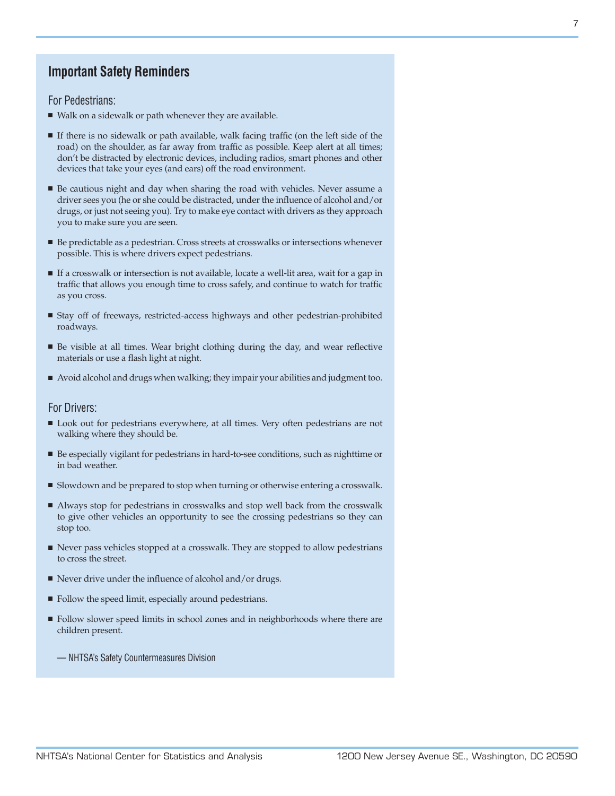## **Important Safety Reminders**

For Pedestrians:

- <sup>n</sup> Walk on a sidewalk or path whenever they are available.
- <sup>n</sup> If there is no sidewalk or path available, walk facing traffic (on the left side of the road) on the shoulder, as far away from traffic as possible. Keep alert at all times; don't be distracted by electronic devices, including radios, smart phones and other devices that take your eyes (and ears) off the road environment.
- <sup>n</sup> Be cautious night and day when sharing the road with vehicles. Never assume a driver sees you (he or she could be distracted, under the influence of alcohol and/or drugs, or just not seeing you). Try to make eye contact with drivers as they approach you to make sure you are seen.
- Be predictable as a pedestrian. Cross streets at crosswalks or intersections whenever possible. This is where drivers expect pedestrians.
- <sup>n</sup> If a crosswalk or intersection is not available, locate a well-lit area, wait for a gap in traffic that allows you enough time to cross safely, and continue to watch for traffic as you cross.
- <sup>n</sup> Stay off of freeways, restricted-access highways and other pedestrian-prohibited roadways.
- <sup>n</sup> Be visible at all times. Wear bright clothing during the day, and wear reflective materials or use a flash light at night.
- <sup>n</sup> Avoid alcohol and drugs when walking; they impair your abilities and judgment too.

#### For Drivers:

- <sup>n</sup> Look out for pedestrians everywhere, at all times. Very often pedestrians are not walking where they should be.
- <sup>n</sup> Be especially vigilant for pedestrians in hard-to-see conditions, such as nighttime or in bad weather.
- Slowdown and be prepared to stop when turning or otherwise entering a crosswalk.
- <sup>n</sup> Always stop for pedestrians in crosswalks and stop well back from the crosswalk to give other vehicles an opportunity to see the crossing pedestrians so they can stop too.
- <sup>n</sup> Never pass vehicles stopped at a crosswalk. They are stopped to allow pedestrians to cross the street.
- $\blacksquare$  Never drive under the influence of alcohol and/or drugs.
- Follow the speed limit, especially around pedestrians.
- Follow slower speed limits in school zones and in neighborhoods where there are children present.
	- NHTSA's Safety Countermeasures Division